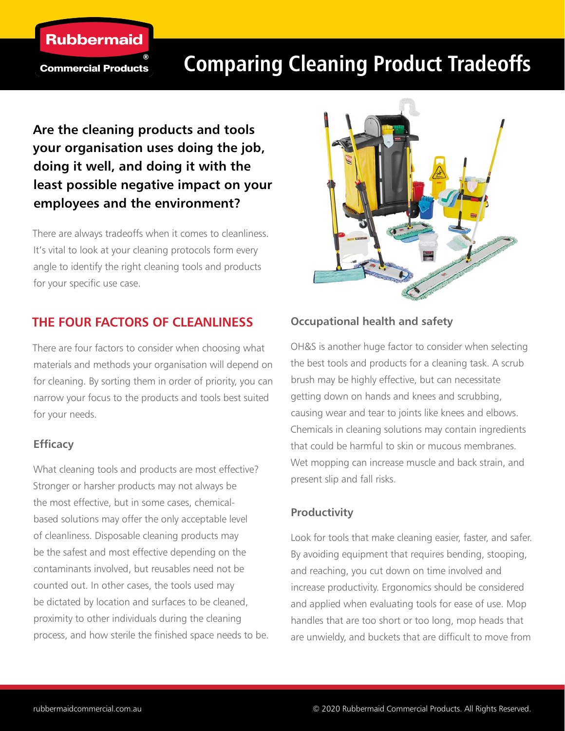

**Commercial Products** 

# **Comparing Cleaning Product Tradeoffs**

# **Are the cleaning products and tools your organisation uses doing the job, doing it well, and doing it with the least possible negative impact on your employees and the environment?**

There are always tradeoffs when it comes to cleanliness. It's vital to look at your cleaning protocols form every angle to identify the right cleaning tools and products for your specific use case.

# **THE FOUR FACTORS OF CLEANLINESS**

There are four factors to consider when choosing what materials and methods your organisation will depend on for cleaning. By sorting them in order of priority, you can narrow your focus to the products and tools best suited for your needs.

# **Efficacy**

What cleaning tools and products are most effective? Stronger or harsher products may not always be the most effective, but in some cases, chemicalbased solutions may offer the only acceptable level of cleanliness. Disposable cleaning products may be the safest and most effective depending on the contaminants involved, but reusables need not be counted out. In other cases, the tools used may be dictated by location and surfaces to be cleaned, proximity to other individuals during the cleaning process, and how sterile the finished space needs to be.



# **Occupational health and safety**

OH&S is another huge factor to consider when selecting the best tools and products for a cleaning task. A scrub brush may be highly effective, but can necessitate getting down on hands and knees and scrubbing, causing wear and tear to joints like knees and elbows. Chemicals in cleaning solutions may contain ingredients that could be harmful to skin or mucous membranes. Wet mopping can increase muscle and back strain, and present slip and fall risks.

# **Productivity**

Look for tools that make cleaning easier, faster, and safer. By avoiding equipment that requires bending, stooping, and reaching, you cut down on time involved and increase productivity. Ergonomics should be considered and applied when evaluating tools for ease of use. Mop handles that are too short or too long, mop heads that are unwieldy, and buckets that are difficult to move from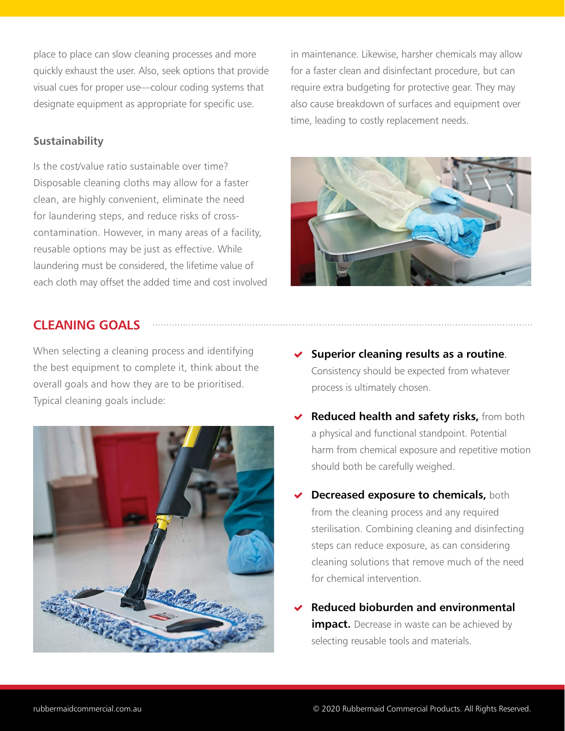place to place can slow cleaning processes and more quickly exhaust the user. Also, seek options that provide visual cues for proper use—colour coding systems that designate equipment as appropriate for specific use.

#### **Sustainability**

Is the cost/value ratio sustainable over time? Disposable cleaning cloths may allow for a faster clean, are highly convenient, eliminate the need for laundering steps, and reduce risks of crosscontamination. However, in many areas of a facility, reusable options may be just as effective. While laundering must be considered, the lifetime value of each cloth may offset the added time and cost involved

# **CLEANING GOALS**

When selecting a cleaning process and identifying the best equipment to complete it, think about the overall goals and how they are to be prioritised. Typical cleaning goals include:



in maintenance. Likewise, harsher chemicals may allow for a faster clean and disinfectant procedure, but can require extra budgeting for protective gear. They may also cause breakdown of surfaces and equipment over time, leading to costly replacement needs.



- **Superior cleaning results as a routine**. Consistency should be expected from whatever process is ultimately chosen.
- **Reduced health and safety risks,** from both a physical and functional standpoint. Potential harm from chemical exposure and repetitive motion should both be carefully weighed.
- **Decreased exposure to chemicals,** both from the cleaning process and any required sterilisation. Combining cleaning and disinfecting steps can reduce exposure, as can considering cleaning solutions that remove much of the need for chemical intervention.
- **Reduced bioburden and environmental impact.** Decrease in waste can be achieved by selecting reusable tools and materials.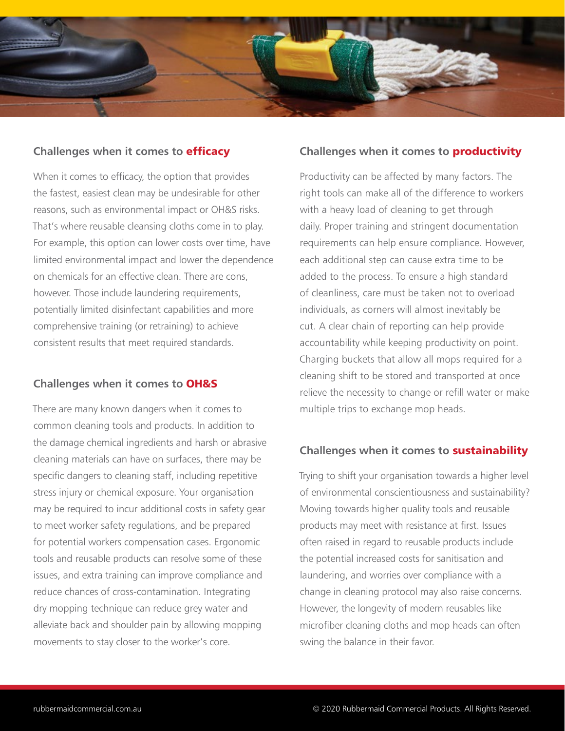

#### **Challenges when it comes to** efficacy

When it comes to efficacy, the option that provides the fastest, easiest clean may be undesirable for other reasons, such as environmental impact or OH&S risks. That's where reusable cleansing cloths come in to play. For example, this option can lower costs over time, have limited environmental impact and lower the dependence on chemicals for an effective clean. There are cons, however. Those include laundering requirements, potentially limited disinfectant capabilities and more comprehensive training (or retraining) to achieve consistent results that meet required standards.

#### **Challenges when it comes to** OH&S

There are many known dangers when it comes to common cleaning tools and products. In addition to the damage chemical ingredients and harsh or abrasive cleaning materials can have on surfaces, there may be specific dangers to cleaning staff, including repetitive stress injury or chemical exposure. Your organisation may be required to incur additional costs in safety gear to meet worker safety regulations, and be prepared for potential workers compensation cases. Ergonomic tools and reusable products can resolve some of these issues, and extra training can improve compliance and reduce chances of cross-contamination. Integrating dry mopping technique can reduce grey water and alleviate back and shoulder pain by allowing mopping movements to stay closer to the worker's core.

#### **Challenges when it comes to** productivity

Productivity can be affected by many factors. The right tools can make all of the difference to workers with a heavy load of cleaning to get through daily. Proper training and stringent documentation requirements can help ensure compliance. However, each additional step can cause extra time to be added to the process. To ensure a high standard of cleanliness, care must be taken not to overload individuals, as corners will almost inevitably be cut. A clear chain of reporting can help provide accountability while keeping productivity on point. Charging buckets that allow all mops required for a cleaning shift to be stored and transported at once relieve the necessity to change or refill water or make multiple trips to exchange mop heads.

#### **Challenges when it comes to** sustainability

Trying to shift your organisation towards a higher level of environmental conscientiousness and sustainability? Moving towards higher quality tools and reusable products may meet with resistance at first. Issues often raised in regard to reusable products include the potential increased costs for sanitisation and laundering, and worries over compliance with a change in cleaning protocol may also raise concerns. However, the longevity of modern reusables like microfiber cleaning cloths and mop heads can often swing the balance in their favor.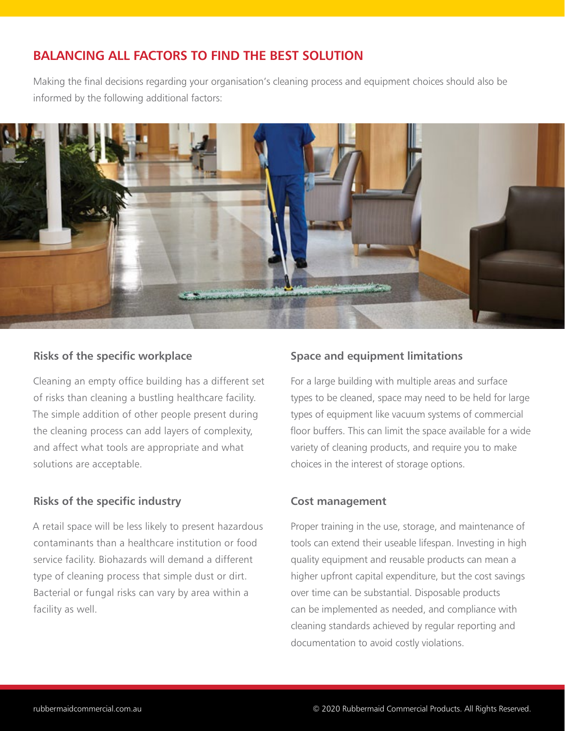# **BALANCING ALL FACTORS TO FIND THE BEST SOLUTION**

Making the final decisions regarding your organisation's cleaning process and equipment choices should also be informed by the following additional factors:



#### **Risks of the specific workplace**

Cleaning an empty office building has a different set of risks than cleaning a bustling healthcare facility. The simple addition of other people present during the cleaning process can add layers of complexity, and affect what tools are appropriate and what solutions are acceptable.

# **Risks of the specific industry**

A retail space will be less likely to present hazardous contaminants than a healthcare institution or food service facility. Biohazards will demand a different type of cleaning process that simple dust or dirt. Bacterial or fungal risks can vary by area within a facility as well.

# **Space and equipment limitations**

For a large building with multiple areas and surface types to be cleaned, space may need to be held for large types of equipment like vacuum systems of commercial floor buffers. This can limit the space available for a wide variety of cleaning products, and require you to make choices in the interest of storage options.

#### **Cost management**

Proper training in the use, storage, and maintenance of tools can extend their useable lifespan. Investing in high quality equipment and reusable products can mean a higher upfront capital expenditure, but the cost savings over time can be substantial. Disposable products can be implemented as needed, and compliance with cleaning standards achieved by regular reporting and documentation to avoid costly violations.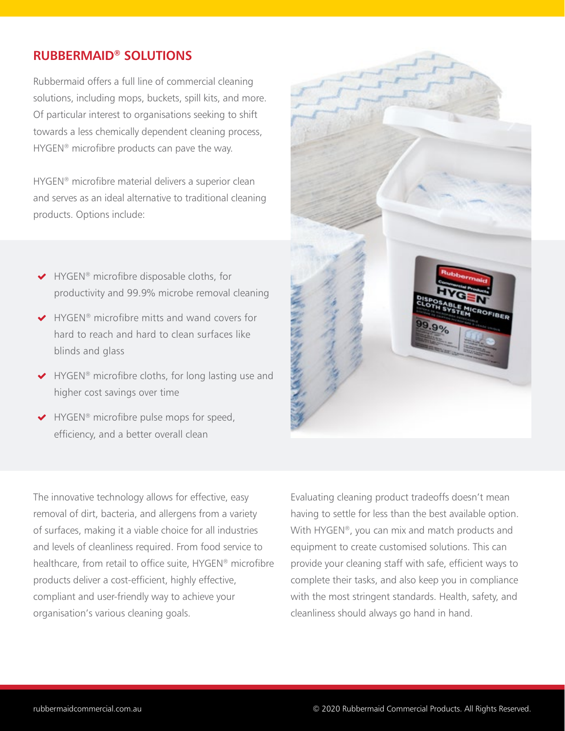# **RUBBERMAID® SOLUTIONS**

Rubbermaid offers a full line of commercial cleaning solutions, including mops, buckets, spill kits, and more. Of particular interest to organisations seeking to shift towards a less chemically dependent cleaning process, HYGEN<sup>®</sup> microfibre products can pave the way.

HYGEN® microfibre material delivers a superior clean and serves as an ideal alternative to traditional cleaning products. Options include:

- ◆ HYGEN® microfibre disposable cloths, for productivity and 99.9% microbe removal cleaning
- ◆ HYGEN® microfibre mitts and wand covers for hard to reach and hard to clean surfaces like blinds and glass
- ◆ HYGEN® microfibre cloths, for long lasting use and higher cost savings over time
- ◆ HYGEN<sup>®</sup> microfibre pulse mops for speed, efficiency, and a better overall clean

The innovative technology allows for effective, easy removal of dirt, bacteria, and allergens from a variety of surfaces, making it a viable choice for all industries and levels of cleanliness required. From food service to healthcare, from retail to office suite, HYGEN® microfibre products deliver a cost-efficient, highly effective, compliant and user-friendly way to achieve your organisation's various cleaning goals.



Evaluating cleaning product tradeoffs doesn't mean having to settle for less than the best available option. With HYGEN®, you can mix and match products and equipment to create customised solutions. This can provide your cleaning staff with safe, efficient ways to complete their tasks, and also keep you in compliance with the most stringent standards. Health, safety, and cleanliness should always go hand in hand.